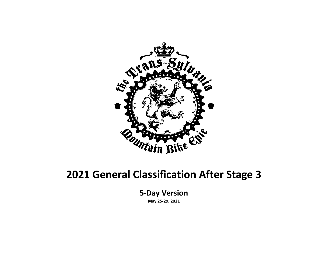

#### **2021 General Classification After Stage 3**

**5-Day Version**

**May 25-29, 2021**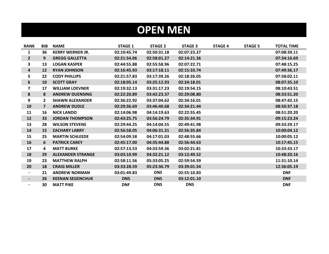## **OPEN MEN**

| <b>RANK</b>              | <b>BIB</b>     | <b>NAME</b>              | <b>STAGE 1</b> | <b>STAGE 2</b> | <b>STAGE 3</b> | <b>STAGE 4</b> | <b>STAGE 5</b> | <b>TOTAL TIME</b> |
|--------------------------|----------------|--------------------------|----------------|----------------|----------------|----------------|----------------|-------------------|
| 1                        | 36             | <b>KERRY WERNER JR.</b>  | 02:10:45.74    | 02:50:31.18    | 02:07:23.27    |                |                | 07:08:39.11       |
| $\overline{2}$           | 9              | <b>GREGG GALLETTA</b>    | 02:21:54.06    | 02:58:01.27    | 02:14:21.36    |                |                | 07:34:16.69       |
| 3                        | 13             | <b>LOGAN KASPER</b>      | 02:44:55.88    | 02:55:58.96    | 02:07:22.71    |                |                | 07:48:15.25       |
| $\overline{\mathbf{a}}$  | 12             | <b>RYAN JOHNSON</b>      | 02:16:45.93    | 03:17:18.11    | 02:15:33.74    |                |                | 07:49:36.17       |
| 5                        | 22             | <b>CODY PHILLIPS</b>     | 02:21:57.83    | 03:17:39.26    | 02:18:26.05    |                |                | 07:58:02.11       |
| 6                        | 10             | <b>SCOTT GRAY</b>        | 02:18:05.14    | 03:25:12.93    | 02:24:18.01    |                |                | 08:07:35.10       |
| $\overline{\mathbf{z}}$  | 17             | <b>WILLIAM LOEVNER</b>   | 02:19:32.13    | 03:31:17.23    | 02:19:54.15    |                |                | 08:10:43.51       |
| 8                        | 8              | <b>ANDREW DUENSING</b>   | 02:22:20.89    | 03:42:23.37    | 02:29:08.80    |                |                | 08:33:51.20       |
| 9                        | $\mathbf{2}$   | <b>SHAWN ALEXANDER</b>   | 02:36:22.92    | 03:37:04.62    | 02:34:16.01    |                |                | 08:47:42.15       |
| 10                       | $\overline{7}$ | <b>ANDREW DUDLE</b>      | 02:29:36.69    | 03:46:40.68    | 02:34:21.44    |                |                | 08:50:37.18       |
| 11                       | 16             | <b>NICK LANDO</b>        | 02:14:06.98    | 04:14:19.63    | 02:22:55.45    |                |                | 08:51:20.20       |
| 12                       | 33             | <b>JORDAN THOMPSON</b>   | 02:43:25.75    | 03:56:24.79    | 02:35:34.91    |                |                | 09:15:23.24       |
| 13                       | 28             | <b>WILSON STEVENS</b>    | 02:29:44.25    | 04:14:04.55    | 02:49:41.98    |                |                | 09:33:29.17       |
| 14                       | 15             | <b>ZACHARY LABRY</b>     | 02:56:58.05    | 04:06:31.31    | 02:56:35.84    |                |                | 10:00:04.12       |
| 15                       | 25             | <b>MARTIN SCHLEEDE</b>   | 02:54:09.58    | 04:17:01.03    | 02:48:55.66    |                |                | 10:00:05.12       |
| 16                       | 6              | <b>PATRICK CAREY</b>     | 02:45:17.00    | 04:35:44.88    | 02:56:44.63    |                |                | 10:17:45.15       |
| 17                       | 4              | <b>MATT BURKE</b>        | 02:57:13.53    | 04:33:59.36    | 03:02:21.81    |                |                | 10:33:33.17       |
| 18                       | 29             | <b>ALEXANDER STRANGE</b> | 03:03:10.99    | 04:32:21.12    | 03:12:49.52    |                |                | 10:48:20.16       |
| 19                       | 23             | <b>MATTHEW RALPH</b>     | 02:58:11.56    | 05:33:05.25    | 02:59:54.59    |                |                | 11:31:10.14       |
| 20                       | 18             | <b>CRAIG MILLER</b>      | 03:33:28.59    | 05:23:36.79    | 03:39:01.54    |                |                | 12:36:05.19       |
| $\blacksquare$           | 21             | <b>ANDREW NORMAN</b>     | 03:01:49.83    | <b>DNS</b>     | 02:55:10.83    |                |                | <b>DNF</b>        |
| $\blacksquare$           | 26             | <b>KEENAN SEGENCHUK</b>  | <b>DNS</b>     | <b>DNS</b>     | 03:12:01.10    |                |                | <b>DNF</b>        |
| $\overline{\phantom{0}}$ | 30             | <b>MATT PIKE</b>         | <b>DNF</b>     | <b>DNS</b>     | <b>DNS</b>     |                |                | <b>DNF</b>        |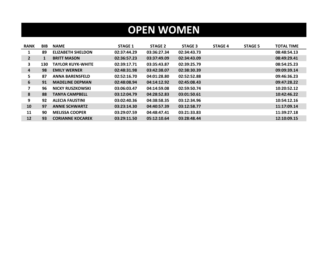## **OPEN WOMEN**

| <b>RANK</b>  | <b>BIB</b> | <b>NAME</b>              | <b>STAGE 1</b> | <b>STAGE 2</b> | <b>STAGE 3</b> | <b>STAGE 4</b> | <b>STAGE 5</b> | <b>TOTAL TIME</b> |
|--------------|------------|--------------------------|----------------|----------------|----------------|----------------|----------------|-------------------|
| 1            | 89         | <b>ELIZABETH SHELDON</b> | 02:37:44.29    | 03:36:27.34    | 02:34:43.73    |                |                | 08:48:54.13       |
| $\mathbf{2}$ | 1          | <b>BRITT MASON</b>       | 02:36:57.23    | 03:37:49.09    | 02:34:43.09    |                |                | 08:49:29.41       |
| 3.           | 130        | <b>TAYLOR KUYK-WHITE</b> | 02:39:17.71    | 03:35:43.87    | 02:39:25.79    |                |                | 08:54:25.23       |
| 4            | 98         | <b>EMILY WERNER</b>      | 02:48:31.98    | 03:42:38.07    | 02:38:30.39    |                |                | 09:09:39.14       |
| 5.           | 87         | <b>ANNA BARENSFELD</b>   | 02:52:16.70    | 04:01:28.80    | 02:52:52.88    |                |                | 09:46:36.23       |
| 6            | 91         | <b>MADELINE DEPMAN</b>   | 02:48:08.94    | 04:14:12.92    | 02:45:08.43    |                |                | 09:47:28.22       |
| 7            | 96         | NICKY RUSZKOWSKI         | 03:06:03.47    | 04:14:59.08    | 02:59:50.74    |                |                | 10:20:52.12       |
| 8            | 88         | <b>TANYA CAMPBELL</b>    | 03:12:04.79    | 04:28:52.83    | 03:01:50.61    |                |                | 10:42:46.22       |
| 9            | 92         | <b>ALECIA FAUSTINI</b>   | 03:02:40.36    | 04:38:58.35    | 03:12:34.96    |                |                | 10:54:12.16       |
| 10           | 97         | <b>ANNIE SCHWARTZ</b>    | 03:23:14.30    | 04:40:57.39    | 03:12:58.77    |                |                | 11:17:09.14       |
| 11           | 90         | <b>MELISSA COOPER</b>    | 03:29:07.59    | 04:48:47.41    | 03:21:33.83    |                |                | 11:39:27.18       |
| 12           | 93         | <b>CORIANNE KOCAREK</b>  | 03:29:11.50    | 05:12:10.64    | 03:28:48.44    |                |                | 12:10:09.15       |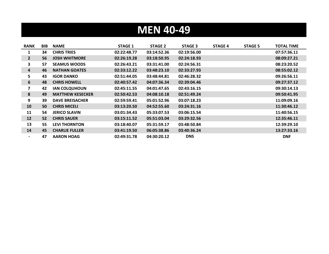# **MEN 40-49**

| <b>RANK</b>             | <b>BIB</b> | <b>NAME</b>             | <b>STAGE 1</b> | STAGE 2     | <b>STAGE 3</b> | <b>STAGE 4</b> | <b>STAGE 5</b> | <b>TOTAL TIME</b> |
|-------------------------|------------|-------------------------|----------------|-------------|----------------|----------------|----------------|-------------------|
| 1                       | 34         | <b>CHRIS TRIES</b>      | 02:22:48.77    | 03:14:52.36 | 02:19:56.00    |                |                | 07:57:36.11       |
| $2^{\circ}$             | 56         | <b>JOSH WHITMORE</b>    | 02:26:19.28    | 03:18:50.95 | 02:24:18.93    |                |                | 08:09:27.21       |
| 3                       | 57         | <b>SEAMUS WOODS</b>     | 02:26:43.21    | 03:31:41.00 | 02:24:56.31    |                |                | 08:23:20.52       |
| 4                       | 46         | <b>NATHAN GOATES</b>    | 02:33:12.22    | 03:48:23.10 | 02:33:27.93    |                |                | 08:55:02.12       |
| 5.                      | 43         | <b>IGOR DANKO</b>       | 02:51:44.05    | 03:48:44.81 | 02:46:28.32    |                |                | 09:26:56.11       |
| 6                       | 48         | <b>CHRIS HOWELL</b>     | 02:40:57.42    | 04:07:36.34 | 02:39:04.46    |                |                | 09:27:37.12       |
| $\overline{\mathbf{z}}$ | 42         | <b>IAN COLQUHOUN</b>    | 02:45:11.55    | 04:01:47.65 | 02:43:16.15    |                |                | 09:30:14.13       |
| 8                       | 49         | <b>MATTHEW KESECKER</b> | 02:50:42.53    | 04:08:10.18 | 02:51:49.24    |                |                | 09:50:41.95       |
| 9                       | 39         | <b>DAVE BREISACHER</b>  | 02:59:59.41    | 05:01:52.96 | 03:07:18.23    |                |                | 11:09:09.16       |
| 10                      | 50         | <b>CHRIS MICELI</b>     | 03:13:20.50    | 04:52:55.60 | 03:24:31.16    |                |                | 11:30:46.12       |
| 11                      | 54         | <b>JERICO SLAVIN</b>    | 03:01:34.43    | 05:33:07.53 | 03:06:15.54    |                |                | 11:40:56.15       |
| 12                      | 52         | <b>CHRIS SAUER</b>      | 03:15:11.52    | 05:51:03.04 | 03:29:32.56    |                |                | 12:35:46.11       |
| 13                      | 55         | <b>LEVI THORNTON</b>    | 03:18:40.07    | 05:31:59.17 | 03:48:50.84    |                |                | 12:39:29.10       |
| 14                      | 45         | <b>CHARLIE FULLER</b>   | 03:41:19.50    | 06:05:38.86 | 03:40:36.24    |                |                | 13:27:33.16       |
|                         | 47         | <b>AARON HOAG</b>       | 02:49:31.78    | 04:30:20.12 | <b>DNS</b>     |                |                | <b>DNF</b>        |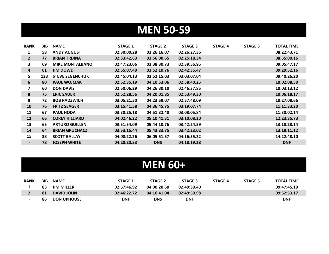# **MEN 50-59**

| <b>RANK</b>             | BIB | <b>NAME</b>            | <b>STAGE 1</b> | <b>STAGE 2</b> | <b>STAGE 3</b> | <b>STAGE 4</b> | <b>STAGE 5</b> | <b>TOTAL TIME</b> |
|-------------------------|-----|------------------------|----------------|----------------|----------------|----------------|----------------|-------------------|
| 1                       | 58  | <b>ANDY AUGUST</b>     | 02:30:00.28    | 03:26:16.07    | 02:26:27.36    |                |                | 08:22:43.71       |
| $\mathbf{2}$            | 77  | <b>BRIAN TRDINA</b>    | 02:33:42.63    | 03:56:00.65    | 02:25:18.34    |                |                | 08:55:00.16       |
| 3                       | 69  | <b>MIKE MONTALBANO</b> | 02:47:23.06    | 03:38:30.73    | 02:39:56.95    |                |                | 09:05:47.17       |
| 4                       | 61  | JIM DOWD               | 02:55:07.40    | 03:52:10.76    | 02:42:35.47    |                |                | 09:29:52.16       |
| 5                       | 123 | <b>STEVE SEGENCHUK</b> | 02:45:04.13    | 03:52:15.03    | 03:03:07.04    |                |                | 09:40:26.20       |
| 6                       | 80  | <b>PAUL WOJCIAK</b>    | 02:52:35.19    | 04:10:53.06    | 02:58:40.25    |                |                | 10:02:08.50       |
| $\overline{\mathbf{z}}$ | 60  | <b>DON DAVIS</b>       | 02:50:06.29    | 04:26:30.10    | 02:46:37.85    |                |                | 10:03:13.12       |
| 8                       | 75  | <b>ERIC SAUER</b>      | 02:52:28.56    | 04:20:01.85    | 02:53:49.30    |                |                | 10:06:18.17       |
| 9                       | 72  | <b>BOB RADZWICH</b>    | 03:05:21.50    | 04:23:59.07    | 02:57:48.09    |                |                | 10:27:08.66       |
| 10                      | 76  | <b>FRITZ SEAGER</b>    | 03:15:41.58    | 04:36:45.75    | 03:19:07.74    |                |                | 11:11:33.20       |
| 11                      | 67  | <b>PAUL HODA</b>       | 03:30:25.18    | 04:51:32.40    | 03:08:05.84    |                |                | 11:30:02.14       |
| 12                      | 66  | <b>COREY HILLIARD</b>  | 04:02:46.22    | 05:10:41.31    | 03:10:08.20    |                |                | 12:23:35.73       |
| 13                      | 65  | <b>ARTURO GUILLEN</b>  | 03:51:54.09    | 05:44:10.76    | 03:42:24.59    |                |                | 13:18:28.14       |
| 14                      | 64  | <b>BRIAN GRUCHACZ</b>  | 03:53:15.44    | 05:43:33.75    | 03:42:23.02    |                |                | 13:19:11.12       |
| 15                      | 38  | <b>SCOTT BALLAY</b>    | 04:00:22.26    | 06:05:51.57    | 04:16:35.22    |                |                | 14:22:48.10       |
| ۰.                      | 78  | <b>JOSEPH WHITE</b>    | 04:20:20.53    | <b>DNS</b>     | 04:18:19.28    |                |                | <b>DNF</b>        |

#### **MEN 60+**

| <b>RANK</b> | <b>BIB</b> | <b>NAME</b>        | STAGE 1     | <b>STAGE 2</b> | <b>STAGE 3</b> | <b>STAGE 4</b> | <b>STAGE 5</b> | <b>TOTAL TIME</b> |
|-------------|------------|--------------------|-------------|----------------|----------------|----------------|----------------|-------------------|
|             | 83         | <b>JIM MILLER</b>  | 02:57:46.92 | 04:00:20.60    | 02:49:39.40    |                |                | 09:47:45.19       |
|             | 81         | <b>DAVID JOLIN</b> | 02:46:22.72 | 04:16:41.04    | 02:49:50.98    |                |                | 09:52:53.17       |
|             | 86         | <b>DON UPHOUSE</b> | DNF         | DNS            | <b>DNF</b>     |                |                | <b>DNF</b>        |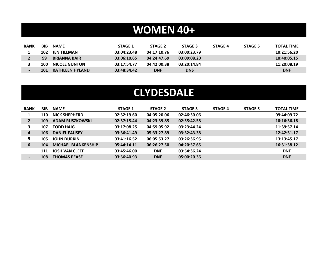## **WOMEN 40+**

| <b>RANK</b> | <b>BIB</b> | <b>NAME</b>            | <b>STAGE 1</b> | <b>STAGE 2</b> | <b>STAGE 3</b> | <b>STAGE 4</b> | <b>STAGE 5</b> | <b>TOTAL TIME</b> |
|-------------|------------|------------------------|----------------|----------------|----------------|----------------|----------------|-------------------|
|             | 102        | JEN TILLMAN            | 03:04:23.48    | 04:17:10.76    | 03:00:23.79    |                |                | 10:21:56.20       |
|             | 99         | <b>BRIANNA BAIR</b>    | 03:06:10.65    | 04:24:47.69    | 03:09:08.20    |                |                | 10:40:05.15       |
|             | 100        | <b>NICOLE GUNTON</b>   | 03:17:54.77    | 04:42:00.38    | 03:20:14.84    |                |                | 11:20:08.19       |
|             | 101        | <b>KATHLEEN HYLAND</b> | 03:48:34.42    | <b>DNF</b>     | <b>DNS</b>     |                |                | <b>DNF</b>        |

## **CLYDESDALE**

| <b>RANK</b>    | <b>BIB</b> | <b>NAME</b>                | <b>STAGE 1</b> | STAGE 2     | <b>STAGE 3</b> | <b>STAGE 4</b> | <b>STAGE 5</b> | <b>TOTAL TIME</b> |
|----------------|------------|----------------------------|----------------|-------------|----------------|----------------|----------------|-------------------|
|                | 110        | <b>NICK SHEPHERD</b>       | 02:52:19.60    | 04:05:20.06 | 02:46:30.06    |                |                | 09:44:09.72       |
| $\overline{2}$ | 109        | <b>ADAM RUSZKOWSKI</b>     | 02:57:15.44    | 04:23:39.85 | 02:55:42.58    |                |                | 10:16:36.18       |
| 3              | 107        | <b>TODD HAIG</b>           | 03:17:08.25    | 04:59:05.92 | 03:23:44.24    |                |                | 11:39:57.14       |
| $\overline{a}$ | 106        | <b>DANIEL FAUSEY</b>       | 03:36:41.49    | 05:33:27.89 | 03:32:43.38    |                |                | 12:42:51.17       |
| 5.             | 105        | <b>JOHN DURKIN</b>         | 03:41:16.52    | 06:05:53.27 | 03:26:36.95    |                |                | 13:13:45.17       |
| 6              | 104        | <b>MICHAEL BLANKENSHIP</b> | 05:44:14.11    | 06:26:27.50 | 04:20:57.65    |                |                | 16:31:38.12       |
| $\blacksquare$ | 111        | <b>JOSH VAN CLEEF</b>      | 03:45:46.00    | <b>DNF</b>  | 03:54:36.24    |                |                | <b>DNF</b>        |
| $\blacksquare$ | 108        | <b>THOMAS PEASE</b>        | 03:56:40.93    | <b>DNF</b>  | 05:00:20.36    |                |                | <b>DNF</b>        |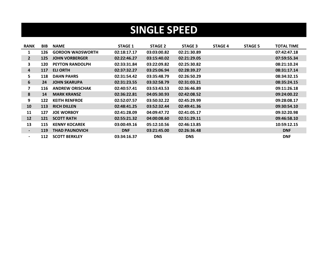## **SINGLE SPEED**

| <b>RANK</b>              | BIB        | <b>NAME</b>             | <b>STAGE 1</b> | <b>STAGE 2</b> | <b>STAGE 3</b> | <b>STAGE 4</b> | <b>STAGE 5</b> | <b>TOTAL TIME</b> |
|--------------------------|------------|-------------------------|----------------|----------------|----------------|----------------|----------------|-------------------|
| 1                        | 126        | <b>GORDON WADSWORTH</b> | 02:18:17.17    | 03:03:00.82    | 02:21:30.89    |                |                | 07:42:47.18       |
| $2^{\circ}$              | 125        | <b>JOHN VORBERGER</b>   | 02:22:46.27    | 03:15:40.02    | 02:21:29.05    |                |                | 07:59:55.34       |
| 3                        | 120        | <b>PEYTON RANDOLPH</b>  | 02:33:31.84    | 03:22:09.82    | 02:25:30.82    |                |                | 08:21:10.24       |
| $\overline{\mathbf{4}}$  | 117        | <b>ELI ORTH</b>         | 02:37:32.27    | 03:25:06.94    | 02:28:39.27    |                |                | 08:31:17.14       |
| 5                        | 118        | <b>DAHN PAHRS</b>       | 02:31:54.42    | 03:35:48.79    | 02:26:50.29    |                |                | 08:34:32.15       |
| 6                        | 24         | <b>JOHN SKARUPA</b>     | 02:31:23.55    | 03:32:58.79    | 02:31:03.21    |                |                | 08:35:24.15       |
| 7                        | 116        | <b>ANDREW ORISCHAK</b>  | 02:40:57.41    | 03:53:43.53    | 02:36:46.89    |                |                | 09:11:26.18       |
| 8                        | 14         | <b>MARK KRANSZ</b>      | 02:36:22.81    | 04:05:30.93    | 02:42:08.52    |                |                | 09:24:00.22       |
| 9                        | 122        | <b>KEITH RENFROE</b>    | 02:52:07.57    | 03:50:32.22    | 02:45:29.99    |                |                | 09:28:08.17       |
| 10                       | 113        | <b>RICH DILLEN</b>      | 02:48:41.25    | 03:52:32.44    | 02:49:41.36    |                |                | 09:30:54.10       |
| 11                       | 127        | <b>JOE WORBOY</b>       | 02:41:28.09    | 04:09:47.72    | 02:41:05.17    |                |                | 09:32:20.98       |
| 12                       | 121        | <b>SCOTT RATH</b>       | 02:55:21.32    | 04:00:08.60    | 02:51:29.11    |                |                | 09:46:58.10       |
| 13                       | 115        | <b>KENNY KOCAREK</b>    | 03:00:49.16    | 05:12:10.56    | 02:46:13.85    |                |                | 10:59:12.15       |
| $\blacksquare$           | <b>119</b> | <b>THAD PAUNOVICH</b>   | <b>DNF</b>     | 03:21:45.00    | 02:26:36.48    |                |                | <b>DNF</b>        |
| $\overline{\phantom{a}}$ | 112        | <b>SCOTT BERKLEY</b>    | 03:34:16.37    | <b>DNS</b>     | <b>DNS</b>     |                |                | <b>DNF</b>        |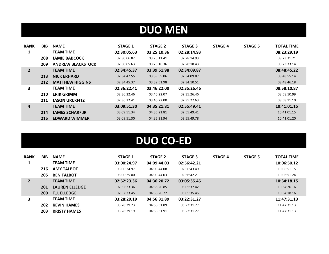# **DUO MEN**

| <b>RANK</b>    | <b>BIB</b> | <b>NAME</b>              | <b>STAGE 1</b> | <b>STAGE 2</b> | <b>STAGE 3</b> | <b>STAGE 4</b> | <b>STAGE 5</b> | <b>TOTAL TIME</b> |
|----------------|------------|--------------------------|----------------|----------------|----------------|----------------|----------------|-------------------|
| 1              |            | <b>TEAM TIME</b>         | 02:30:05.63    | 03:25:10.36    | 02:28:14.93    |                |                | 08:23:29.19       |
|                | 208        | <b>JAMIE BABCOCK</b>     | 02:30:06.82    | 03:25:11.41    | 02:28:14.93    |                |                | 08:23:31.21       |
|                | 209        | <b>ANDREW BLACKSTOCK</b> | 02:30:05.63    | 03:25:10.36    | 02:28:18.43    |                |                | 08:23:33.14       |
| $\overline{2}$ |            | <b>TEAM TIME</b>         | 02:34:45.37    | 03:39:51.98    | 02:34:09.87    |                |                | 08:48:45.22       |
|                | 213        | <b>NICK ERHARD</b>       | 02:34:47.55    | 03:39:59.06    | 02:34:09.87    |                |                | 08:48:55.14       |
|                | 212        | <b>MATTHEW HIGGINS</b>   | 02:34:45.37    | 03:39:51.98    | 02:34:10.51    |                |                | 08:48:46.18       |
| 3              |            | <b>TEAM TIME</b>         | 02:36:22.41    | 03:46:22.00    | 02:35:26.46    |                |                | 08:58:10.87       |
|                | 210        | <b>ERIK GRIMM</b>        | 02:36:22.46    | 03:46:22.07    | 02:35:26.46    |                |                | 08:58:10.99       |
|                | 211        | <b>JASON URCKFITZ</b>    | 02:36:22.41    | 03:46:22.00    | 02:35:27.63    |                |                | 08:58:11.10       |
| 4              |            | <b>TEAM TIME</b>         | 03:09:51.30    | 04:35:21.81    | 02:55:49.41    |                |                | 10:41:01.15       |
|                | 214        | <b>JAMES SCHARF JR</b>   | 03:09:51.34    | 04:35:21.81    | 02:55:49.41    |                |                | 10:41:01.15       |
|                | 215        | <b>EDWARD WIMMER</b>     | 03:09:51.30    | 04:35:21.94    | 02:55:49.78    |                |                | 10:41:01.20       |

# **DUO CO-ED**

| <b>RANK</b> | <b>BIB</b> | <b>NAME</b>           | <b>STAGE 1</b> | STAGE 2     | <b>STAGE 3</b> | <b>STAGE 4</b> | <b>STAGE 5</b> | <b>TOTAL TIME</b> |
|-------------|------------|-----------------------|----------------|-------------|----------------|----------------|----------------|-------------------|
|             |            | <b>TEAM TIME</b>      | 03:00:24.97    | 04:09:44.03 | 02:56:42.21    |                |                | 10:06:50.12       |
|             | 216        | <b>AMY TALBOT</b>     | 03:00:24.97    | 04:09:44.08 | 02:56:43.49    |                |                | 10:06:51.15       |
|             | 205        | <b>BEN TALBOT</b>     | 03:00:25.00    | 04:09:44.03 | 02:56:42.21    |                |                | 10:06:51.24       |
|             |            | <b>TEAM TIME</b>      | 02:52:23.36    | 04:36:20.72 | 03:05:35.45    |                |                | 10:34:18.15       |
|             | 201        | <b>LAUREN ELLEDGE</b> | 02:52:23.36    | 04:36:20.85 | 03:05:37.42    |                |                | 10:34:20.16       |
|             | 200        | <b>T.J. ELLEDGE</b>   | 02:52:23.45    | 04:36:20.72 | 03:05:35.45    |                |                | 10:34:18.16       |
| 3           |            | <b>TEAM TIME</b>      | 03:28:29.19    | 04:56:31.89 | 03:22:31.27    |                |                | 11:47:31.13       |
|             | 202        | <b>KEVIN HAMES</b>    | 03:28:29.23    | 04:56:31.89 | 03:22:31.27    |                |                | 11:47:31.13       |
|             | 203        | <b>KRISTY HAMES</b>   | 03:28:29.19    | 04:56:31.91 | 03:22:31.27    |                |                | 11:47:31.13       |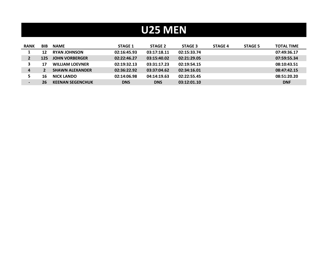# **U25 MEN**

| <b>RANK</b>              | <b>BIB</b> | <b>NAME</b>             | <b>STAGE 1</b> | <b>STAGE 2</b> | <b>STAGE 3</b> | <b>STAGE 4</b> | <b>STAGE 5</b> | <b>TOTAL TIME</b> |
|--------------------------|------------|-------------------------|----------------|----------------|----------------|----------------|----------------|-------------------|
|                          | 12         | <b>RYAN JOHNSON</b>     | 02:16:45.93    | 03:17:18.11    | 02:15:33.74    |                |                | 07:49:36.17       |
|                          | 125        | <b>JOHN VORBERGER</b>   | 02:22:46.27    | 03:15:40.02    | 02:21:29.05    |                |                | 07:59:55.34       |
|                          | 17         | <b>WILLIAM LOEVNER</b>  | 02:19:32.13    | 03:31:17.23    | 02:19:54.15    |                |                | 08:10:43.51       |
| 4                        |            | <b>SHAWN ALEXANDER</b>  | 02:36:22.92    | 03:37:04.62    | 02:34:16.01    |                |                | 08:47:42.15       |
|                          | 16         | <b>NICK LANDO</b>       | 02:14:06.98    | 04:14:19.63    | 02:22:55.45    |                |                | 08:51:20.20       |
| $\overline{\phantom{0}}$ | 26         | <b>KEENAN SEGENCHUK</b> | <b>DNS</b>     | <b>DNS</b>     | 03:12:01.10    |                |                | <b>DNF</b>        |